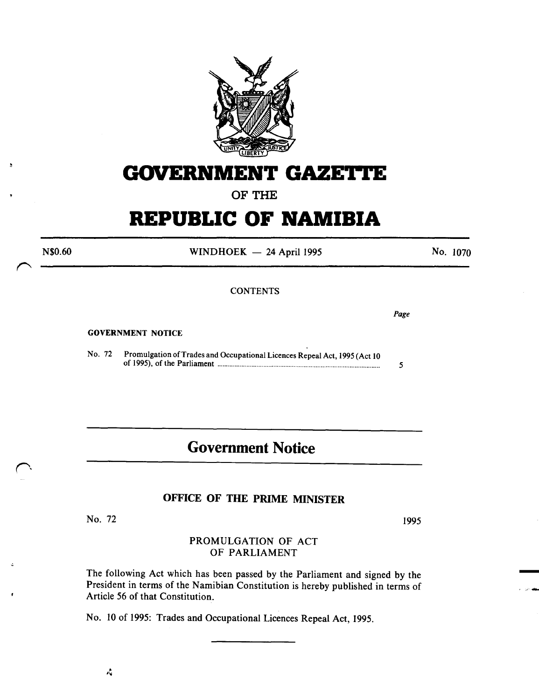

# **GOVERNMENT GAZETTE**

**OF THE** 

# **REPUBLIC OF NAMIBIA**

 $WINDHOEK - 24$  April 1995

No. 1070

**CONTENTS** 

GOVERNMENT NOTICE

N\$0.60

No. 72 Promulgation of Trades and Occupational Licences Repeal Act, 1995 (Act 10 of 1995), of the Parliament ................................................................................................ *5* 

## **Government Notice**

#### **OFFICE OF THE PRIME MINISTER**

No. 72

1995

-

'""""' .....

*Page* 

PROMULGATION OF ACT OF PARLIAMENT

The following Act which has been passed by the Parliament and signed by the President in terms of the Namibian Constitution is hereby published in terms of Article 56 of that Constitution.

No. 10 of 1995: Trades and Occupational Licences Repeal Act, 1995.

Ą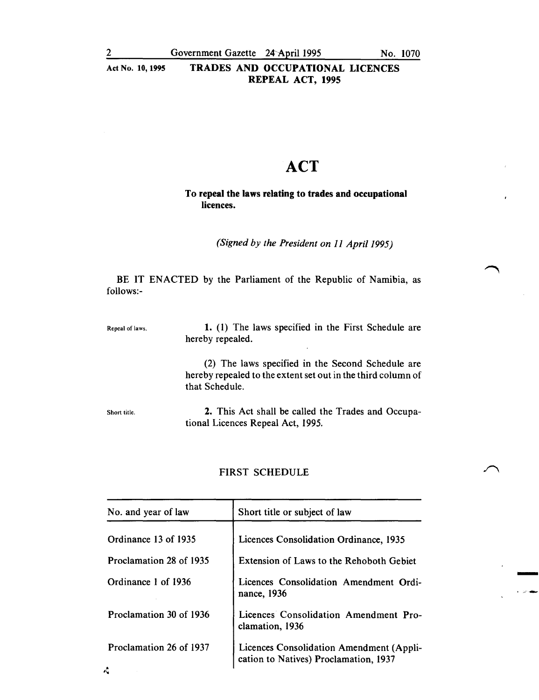-<br>-<br>-

·-'·,.-..

Act No. 10, 1995 TRADES AND OCCUPATIONAL LICENCES REPEAL ACT, 1995

# **ACT**

#### To repeal the laws relating to trades and occupational licences.

*(Signed by the President on 11 Apri/1995)* 

BE IT ENACTED by the Parliament of the Republic of Namibia, as follows:-

| Repeal of laws. | 1. (1) The laws specified in the First Schedule are<br>hereby repealed.                                                             |  |  |
|-----------------|-------------------------------------------------------------------------------------------------------------------------------------|--|--|
|                 | (2) The laws specified in the Second Schedule are<br>hereby repealed to the extent set out in the third column of<br>that Schedule. |  |  |
| Short title.    | 2. This Act shall be called the Trades and Occupa-<br>tional Licences Repeal Act, 1995.                                             |  |  |

#### FIRST SCHEDULE

| Short title or subject of law                                                     |  |
|-----------------------------------------------------------------------------------|--|
| Licences Consolidation Ordinance, 1935                                            |  |
| Extension of Laws to the Rehoboth Gebiet                                          |  |
| Licences Consolidation Amendment Ordi-<br>nance, 1936                             |  |
| Licences Consolidation Amendment Pro-<br>clamation, 1936                          |  |
| Licences Consolidation Amendment (Appli-<br>cation to Natives) Proclamation, 1937 |  |
|                                                                                   |  |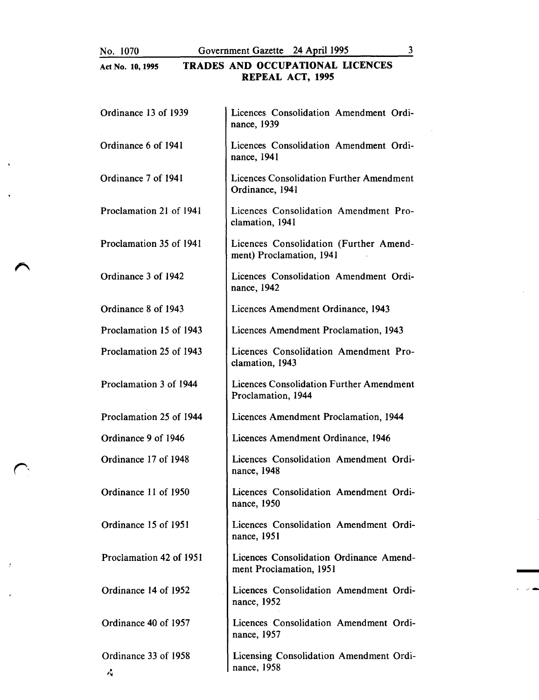No. 1070 Government Gazette 24 April 1995 3

## Act No. 10, 1995 TRADES AND OCCUPATIONAL LICENCES REPEAL ACT, 1995

| Ordinance 13 of 1939       | Licences Consolidation Amendment Ordi-<br>nance, 1939                 |  |  |
|----------------------------|-----------------------------------------------------------------------|--|--|
| Ordinance 6 of 1941        | Licences Consolidation Amendment Ordi-<br>nance, 1941                 |  |  |
| Ordinance 7 of 1941        | Licences Consolidation Further Amendment<br>Ordinance, 1941           |  |  |
| Proclamation 21 of 1941    | Licences Consolidation Amendment Pro-<br>clamation, 1941              |  |  |
| Proclamation 35 of 1941    | Licences Consolidation (Further Amend-<br>ment) Proclamation, 1941    |  |  |
| Ordinance 3 of 1942        | Licences Consolidation Amendment Ordi-<br>nance, 1942                 |  |  |
| Ordinance 8 of 1943        | Licences Amendment Ordinance, 1943                                    |  |  |
| Proclamation 15 of 1943    | Licences Amendment Proclamation, 1943                                 |  |  |
| Proclamation 25 of 1943    | Licences Consolidation Amendment Pro-<br>clamation, 1943              |  |  |
| Proclamation 3 of 1944     | <b>Licences Consolidation Further Amendment</b><br>Proclamation, 1944 |  |  |
| Proclamation 25 of 1944    | Licences Amendment Proclamation, 1944                                 |  |  |
| Ordinance 9 of 1946        | Licences Amendment Ordinance, 1946                                    |  |  |
| Ordinance 17 of 1948       | Licences Consolidation Amendment Ordi-<br>nance, 1948                 |  |  |
| Ordinance 11 of 1950       | Licences Consolidation Amendment Ordi-<br>nance, 1950                 |  |  |
| Ordinance 15 of 1951       | Licences Consolidation Amendment Ordi-<br>nance, 1951                 |  |  |
| Proclamation 42 of 1951    | Licences Consolidation Ordinance Amend-<br>ment Proclamation, 1951    |  |  |
| Ordinance 14 of 1952       | Licences Consolidation Amendment Ordi-<br>nance, 1952                 |  |  |
| Ordinance 40 of 1957       | Licences Consolidation Amendment Ordi-<br>nance, 1957                 |  |  |
| Ordinance 33 of 1958<br>٨Ç | Licensing Consolidation Amendment Ordi-<br>nance, 1958                |  |  |

-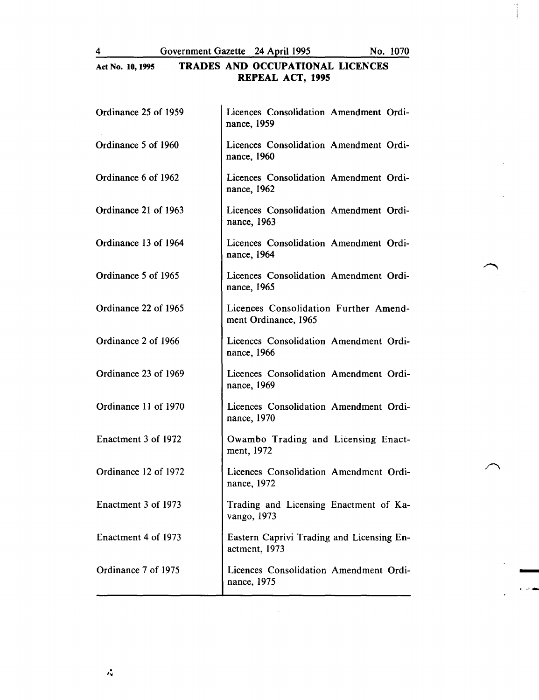4 Government Gazette 24 April 1995 No. 1070

~ \_\_, .....

## Act No. 10, 1995 TRADES AND OCCUPATIONAL LICENCES REPEAL ACT, 1995

| Ordinance 25 of 1959 | Licences Consolidation Amendment Ordi-<br>nance, 1959         |  |
|----------------------|---------------------------------------------------------------|--|
| Ordinance 5 of 1960  | Licences Consolidation Amendment Ordi-<br>nance, 1960         |  |
| Ordinance 6 of 1962  | Licences Consolidation Amendment Ordi-<br>nance, 1962         |  |
| Ordinance 21 of 1963 | Licences Consolidation Amendment Ordi-<br>nance, 1963         |  |
| Ordinance 13 of 1964 | Licences Consolidation Amendment Ordi-<br>nance, 1964         |  |
| Ordinance 5 of 1965  | Licences Consolidation Amendment Ordi-<br>nance, 1965         |  |
| Ordinance 22 of 1965 | Licences Consolidation Further Amend-<br>ment Ordinance, 1965 |  |
| Ordinance 2 of 1966  | Licences Consolidation Amendment Ordi-<br>nance, 1966         |  |
| Ordinance 23 of 1969 | Licences Consolidation Amendment Ordi-<br>nance, 1969         |  |
| Ordinance 11 of 1970 | Licences Consolidation Amendment Ordi-<br>nance, 1970         |  |
| Enactment 3 of 1972  | Owambo Trading and Licensing Enact-<br>ment, 1972             |  |
| Ordinance 12 of 1972 | Licences Consolidation Amendment Ordi-<br>nance, 1972         |  |
| Enactment 3 of 1973  | Trading and Licensing Enactment of Ka-<br>vango, 1973         |  |
| Enactment 4 of 1973  | Eastern Caprivi Trading and Licensing En-<br>actment, 1973    |  |
| Ordinance 7 of 1975  | Licences Consolidation Amendment Ordi-<br>nance, 1975         |  |